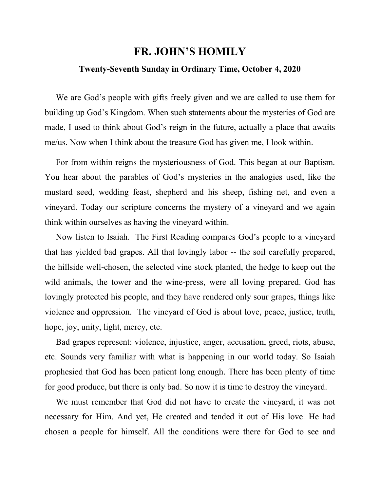## **FR. JOHN'S HOMILY**

## **Twenty-Seventh Sunday in Ordinary Time, October 4, 2020**

 We are God's people with gifts freely given and we are called to use them for building up God's Kingdom. When such statements about the mysteries of God are made, I used to think about God's reign in the future, actually a place that awaits me/us. Now when I think about the treasure God has given me, I look within.

 For from within reigns the mysteriousness of God. This began at our Baptism. You hear about the parables of God's mysteries in the analogies used, like the mustard seed, wedding feast, shepherd and his sheep, fishing net, and even a vineyard. Today our scripture concerns the mystery of a vineyard and we again think within ourselves as having the vineyard within.

 Now listen to Isaiah. The First Reading compares God's people to a vineyard that has yielded bad grapes. All that lovingly labor -- the soil carefully prepared, the hillside well-chosen, the selected vine stock planted, the hedge to keep out the wild animals, the tower and the wine-press, were all loving prepared. God has lovingly protected his people, and they have rendered only sour grapes, things like violence and oppression. The vineyard of God is about love, peace, justice, truth, hope, joy, unity, light, mercy, etc.

 Bad grapes represent: violence, injustice, anger, accusation, greed, riots, abuse, etc. Sounds very familiar with what is happening in our world today. So Isaiah prophesied that God has been patient long enough. There has been plenty of time for good produce, but there is only bad. So now it is time to destroy the vineyard.

 We must remember that God did not have to create the vineyard, it was not necessary for Him. And yet, He created and tended it out of His love. He had chosen a people for himself. All the conditions were there for God to see and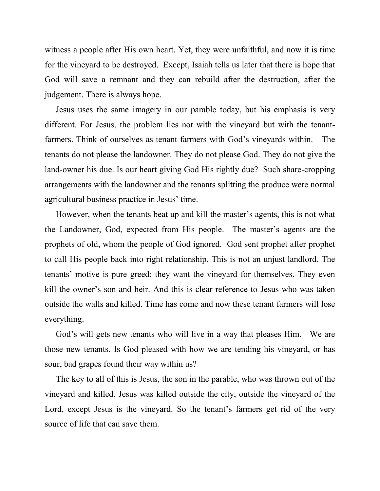witness a people after His own heart. Yet, they were unfaithful, and now it is time for the vineyard to be destroyed. Except, Isaiah tells us later that there is hope that God will save a remnant and they can rebuild after the destruction, after the judgement. There is always hope.

 Jesus uses the same imagery in our parable today, but his emphasis is very different. For Jesus, the problem lies not with the vineyard but with the tenantfarmers. Think of ourselves as tenant farmers with God's vineyards within. The tenants do not please the landowner. They do not please God. They do not give the land-owner his due. Is our heart giving God His rightly due? Such share-cropping arrangements with the landowner and the tenants splitting the produce were normal agricultural business practice in Jesus' time.

 However, when the tenants beat up and kill the master's agents, this is not what the Landowner, God, expected from His people. The master's agents are the prophets of old, whom the people of God ignored. God sent prophet after prophet to call His people back into right relationship. This is not an unjust landlord. The tenants' motive is pure greed; they want the vineyard for themselves. They even kill the owner's son and heir. And this is clear reference to Jesus who was taken outside the walls and killed. Time has come and now these tenant farmers will lose everything.

 God's will gets new tenants who will live in a way that pleases Him. We are those new tenants. Is God pleased with how we are tending his vineyard, or has sour, bad grapes found their way within us?

 The key to all of this is Jesus, the son in the parable, who was thrown out of the vineyard and killed. Jesus was killed outside the city, outside the vineyard of the Lord, except Jesus is the vineyard. So the tenant's farmers get rid of the very source of life that can save them.